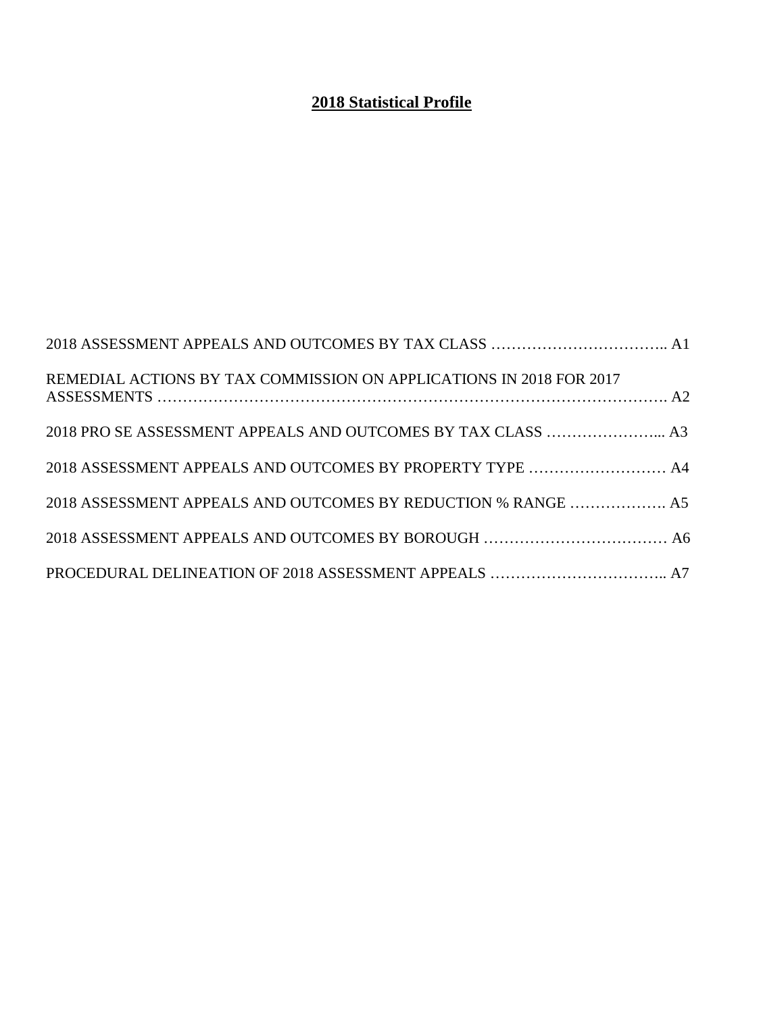## **2018 Statistical Profile**

| REMEDIAL ACTIONS BY TAX COMMISSION ON APPLICATIONS IN 2018 FOR 2017 |  |
|---------------------------------------------------------------------|--|
| 2018 PRO SE ASSESSMENT APPEALS AND OUTCOMES BY TAX CLASS  A3        |  |
| 2018 ASSESSMENT APPEALS AND OUTCOMES BY PROPERTY TYPE  A4           |  |
| 2018 ASSESSMENT APPEALS AND OUTCOMES BY REDUCTION % RANGE  A5       |  |
|                                                                     |  |
|                                                                     |  |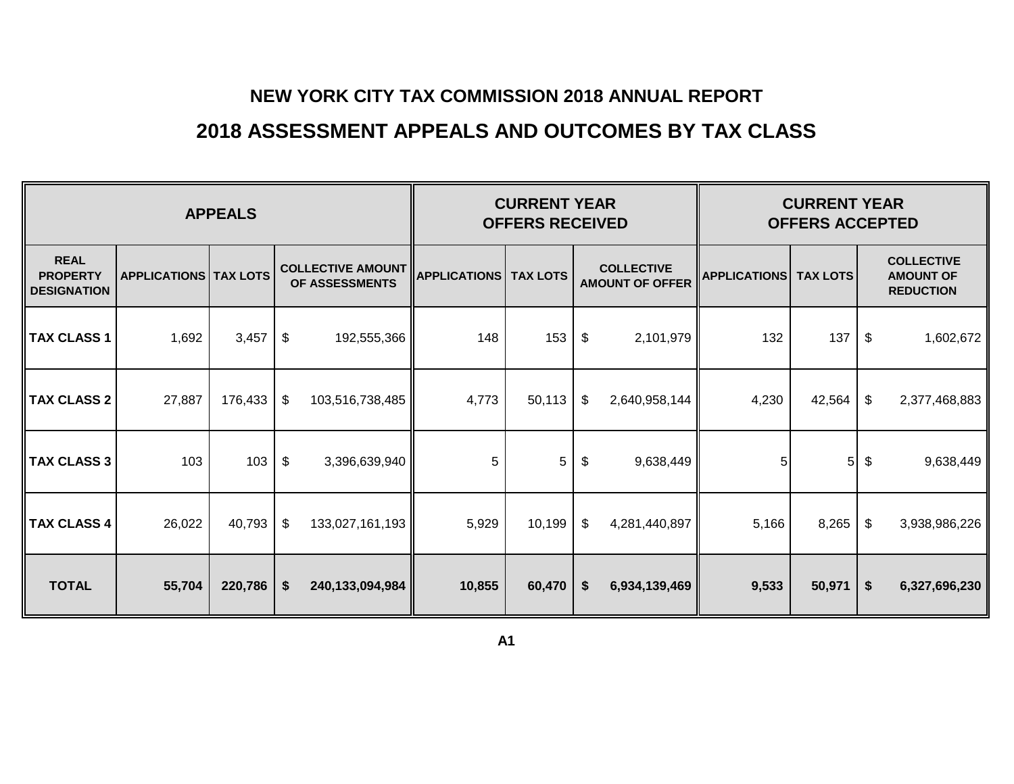# **2018 ASSESSMENT APPEALS AND OUTCOMES BY TAX CLASS**

<span id="page-1-0"></span>

| <b>APPEALS</b>                                       |                                |         |                                                           |                 |        | <b>CURRENT YEAR</b><br><b>OFFERS RECEIVED</b> |    | <b>CURRENT YEAR</b><br><b>OFFERS ACCEPTED</b> |                     |                 |                           |                                                           |
|------------------------------------------------------|--------------------------------|---------|-----------------------------------------------------------|-----------------|--------|-----------------------------------------------|----|-----------------------------------------------|---------------------|-----------------|---------------------------|-----------------------------------------------------------|
| <b>REAL</b><br><b>PROPERTY</b><br><b>DESIGNATION</b> | <b>APPLICATIONS   TAX LOTS</b> |         | COLLECTIVE AMOUNT APPLICATIONS TAX LOTS<br>OF ASSESSMENTS |                 |        |                                               |    | <b>COLLECTIVE</b><br><b>AMOUNT OF OFFER</b>   | <b>APPLICATIONS</b> | <b>TAX LOTS</b> |                           | <b>COLLECTIVE</b><br><b>AMOUNT OF</b><br><b>REDUCTION</b> |
| <b>TAX CLASS 1</b>                                   | 1,692                          | 3,457   | \$                                                        | 192,555,366     | 148    | 153                                           | \$ | 2,101,979                                     | 132                 | 137             | \$                        | 1,602,672                                                 |
| <b>TAX CLASS 2</b>                                   | 27,887                         | 176,433 | \$                                                        | 103,516,738,485 | 4,773  | 50,113                                        | \$ | 2,640,958,144                                 | 4,230               | 42,564          | \$                        | 2,377,468,883                                             |
| <b>TAX CLASS 3</b>                                   | 103                            | 103     | \$                                                        | 3,396,639,940   | 5      | 5                                             | \$ | 9,638,449                                     | 5                   | 5 <sub>l</sub>  | \$                        | 9,638,449                                                 |
| <b>TAX CLASS 4</b>                                   | 26,022                         | 40,793  | $\sqrt[6]{\frac{1}{2}}$                                   | 133,027,161,193 | 5,929  | 10,199                                        | \$ | 4,281,440,897                                 | 5,166               | 8,265           | \$                        | 3,938,986,226                                             |
| <b>TOTAL</b>                                         | 55,704                         | 220,786 | \$                                                        | 240,133,094,984 | 10,855 | 60,470                                        | \$ | 6,934,139,469                                 | 9,533               | 50,971          | $\boldsymbol{\mathsf{s}}$ | 6,327,696,230                                             |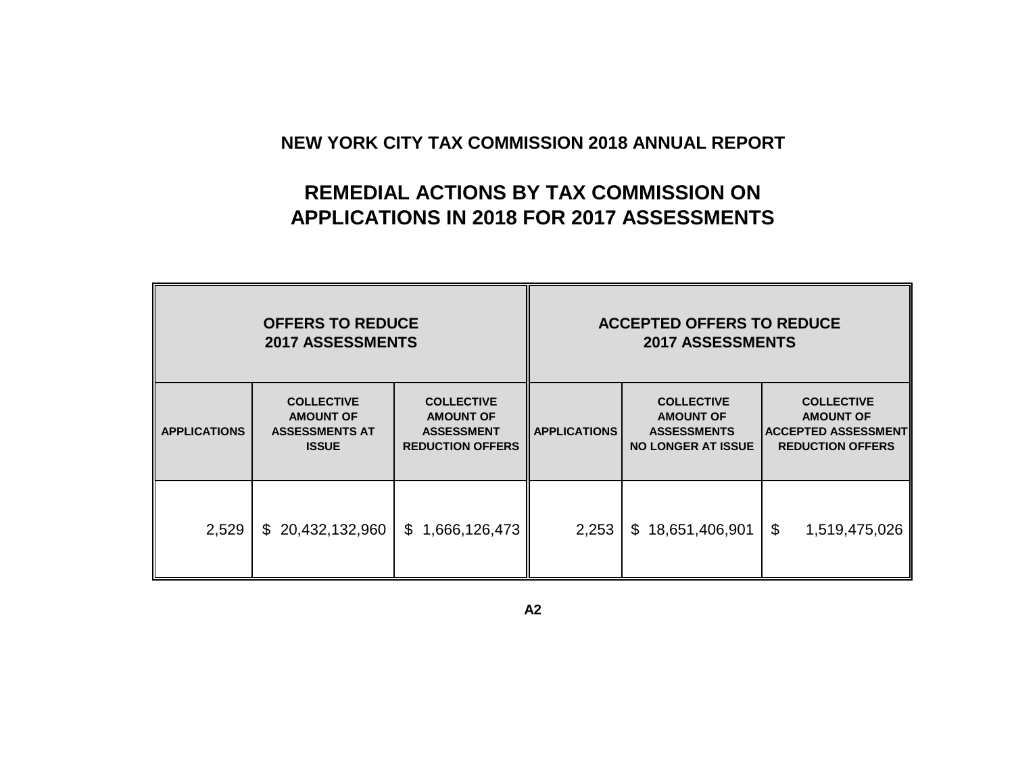# **REMEDIAL ACTIONS BY TAX COMMISSION ON APPLICATIONS IN 2018 FOR 2017 ASSESSMENTS**

<span id="page-2-0"></span>

|                     | <b>OFFERS TO REDUCE</b><br><b>2017 ASSESSMENTS</b>                                                                                                                      |                     | <b>ACCEPTED OFFERS TO REDUCE</b><br><b>2017 ASSESSMENTS</b> |                                                                                          |                                                                                                |  |  |  |  |
|---------------------|-------------------------------------------------------------------------------------------------------------------------------------------------------------------------|---------------------|-------------------------------------------------------------|------------------------------------------------------------------------------------------|------------------------------------------------------------------------------------------------|--|--|--|--|
| <b>APPLICATIONS</b> | <b>COLLECTIVE</b><br><b>COLLECTIVE</b><br><b>AMOUNT OF</b><br><b>AMOUNT OF</b><br><b>ASSESSMENTS AT</b><br><b>ASSESSMENT</b><br><b>ISSUE</b><br><b>REDUCTION OFFERS</b> |                     | <b>APPLICATIONS</b>                                         | <b>COLLECTIVE</b><br><b>AMOUNT OF</b><br><b>ASSESSMENTS</b><br><b>NO LONGER AT ISSUE</b> | <b>COLLECTIVE</b><br><b>AMOUNT OF</b><br><b>ACCEPTED ASSESSMENT</b><br><b>REDUCTION OFFERS</b> |  |  |  |  |
| 2,529               | \$20,432,132,960                                                                                                                                                        | 1,666,126,473<br>\$ | 2,253                                                       | \$18,651,406,901                                                                         | \$<br>1,519,475,026                                                                            |  |  |  |  |

**A2**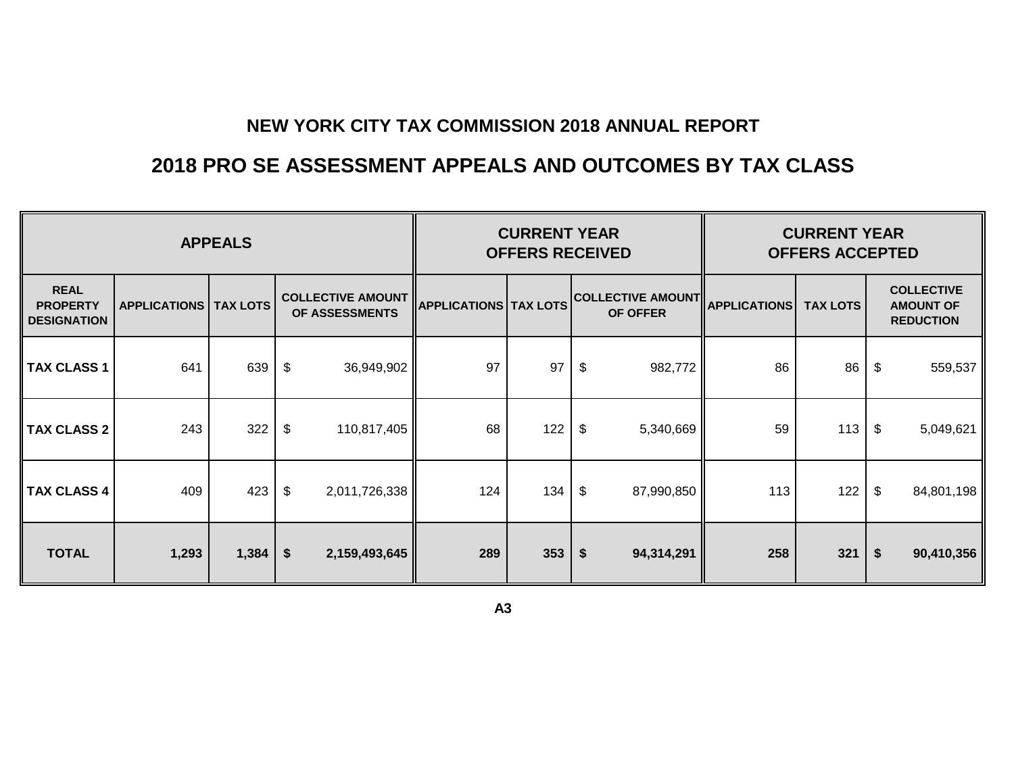# **2018 PRO SE ASSESSMENT APPEALS AND OUTCOMES BY TAX CLASS**

<span id="page-3-0"></span>

|                                                      |                                | <b>CURRENT YEAR</b><br><b>OFFERS RECEIVED</b> |                                            |                              | <b>CURRENT YEAR</b><br><b>OFFERS ACCEPTED</b> |                                 |                                      |                     |                 |    |                                                           |
|------------------------------------------------------|--------------------------------|-----------------------------------------------|--------------------------------------------|------------------------------|-----------------------------------------------|---------------------------------|--------------------------------------|---------------------|-----------------|----|-----------------------------------------------------------|
| <b>REAL</b><br><b>PROPERTY</b><br><b>DESIGNATION</b> | <b>APPLICATIONS   TAX LOTS</b> |                                               | <b>COLLECTIVE AMOUNT</b><br>OF ASSESSMENTS | <b>APPLICATIONS TAX LOTS</b> |                                               |                                 | <b>COLLECTIVE AMOUNT</b><br>OF OFFER | <b>APPLICATIONS</b> | <b>TAX LOTS</b> |    | <b>COLLECTIVE</b><br><b>AMOUNT OF</b><br><b>REDUCTION</b> |
| <b>TAX CLASS 1</b>                                   | 641                            | 639                                           | $\boldsymbol{\mathsf{\$}}$<br>36,949,902   | 97                           | 97                                            | $\boldsymbol{\theta}$           | 982,772                              | 86                  | 86              | \$ | 559,537                                                   |
| <b>TAX CLASS 2</b>                                   | 243                            | 322                                           | \$<br>110,817,405                          | 68                           | 122                                           | \$                              | 5,340,669                            | 59                  | 113             | \$ | 5,049,621                                                 |
| <b>TAX CLASS 4</b>                                   | 409                            | 423                                           | \$<br>2,011,726,338                        | 124                          | 134                                           | \$                              | 87,990,850                           | 113                 | 122             | \$ | 84,801,198                                                |
| <b>TOTAL</b>                                         | 1,293                          | 1,384                                         | $\boldsymbol{\hat{z}}$<br>2,159,493,645    | 289                          | 353                                           | $\boldsymbol{\hat{\mathsf{s}}}$ | 94,314,291                           | 258                 | 321             | \$ | 90,410,356                                                |

**A3**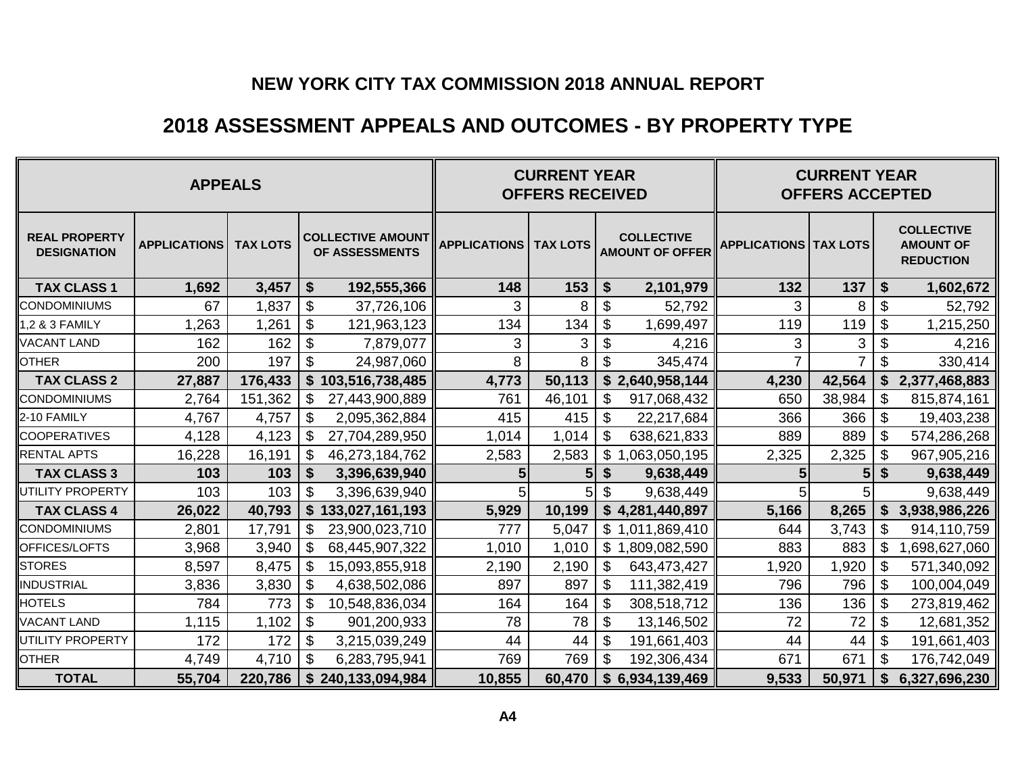## **2018 ASSESSMENT APPEALS AND OUTCOMES - BY PROPERTY TYPE**

<span id="page-4-0"></span>

|                                            |                     | <b>CURRENT YEAR</b><br><b>OFFERS RECEIVED</b> |                                             | <b>CURRENT YEAR</b><br><b>OFFERS ACCEPTED</b> |        |                           |                                             |                                |                |                           |                                                           |
|--------------------------------------------|---------------------|-----------------------------------------------|---------------------------------------------|-----------------------------------------------|--------|---------------------------|---------------------------------------------|--------------------------------|----------------|---------------------------|-----------------------------------------------------------|
| <b>REAL PROPERTY</b><br><b>DESIGNATION</b> | <b>APPLICATIONS</b> | <b>TAX LOTS</b>                               | <b>COLLECTIVE AMOUNT</b><br>OF ASSESSMENTS  | <b>APPLICATIONS   TAX LOTS</b>                |        |                           | <b>COLLECTIVE</b><br><b>AMOUNT OF OFFER</b> | <b>APPLICATIONS   TAX LOTS</b> |                |                           | <b>COLLECTIVE</b><br><b>AMOUNT OF</b><br><b>REDUCTION</b> |
| <b>TAX CLASS 1</b>                         | 1,692               | 3,457                                         | \$<br>192,555,366                           | 148                                           | 153    | $\boldsymbol{\$}$         | 2,101,979                                   | 132                            | 137            | $\boldsymbol{\hat{s}}$    | 1,602,672                                                 |
| <b>CONDOMINIUMS</b>                        | 67                  | 1,837                                         | $\boldsymbol{\mathsf{S}}$<br>37,726,106     | 3                                             | 8      | $\boldsymbol{\mathsf{S}}$ | 52,792                                      | 3                              | 8              | $\boldsymbol{\mathsf{S}}$ | 52,792                                                    |
| 1,2 & 3 FAMILY                             | 1,263               | 1,261                                         | $\boldsymbol{\mathsf{S}}$<br>121,963,123    | 134                                           | 134    | $\boldsymbol{\theta}$     | 1,699,497                                   | 119                            | 119            | $\boldsymbol{\$}$         | 1,215,250                                                 |
| <b>VACANT LAND</b>                         | 162                 | 162                                           | $\boldsymbol{\mathsf{S}}$<br>7,879,077      | 3                                             | 3      | $\boldsymbol{\mathsf{S}}$ | 4,216                                       | 3                              | 3              | $\boldsymbol{\mathsf{S}}$ | 4,216                                                     |
| <b>OTHER</b>                               | 200                 | 197                                           | $\boldsymbol{\mathsf{S}}$<br>24,987,060     | 8                                             | 8      | \$                        | 345,474                                     | $\overline{7}$                 | $\overline{7}$ | $\boldsymbol{\mathsf{S}}$ | 330,414                                                   |
| <b>TAX CLASS 2</b>                         | 27,887              | 176,433                                       | \$103,516,738,485                           | 4,773                                         | 50,113 |                           | \$2,640,958,144                             | 4,230                          | 42,564         | \$                        | 2,377,468,883                                             |
| <b>CONDOMINIUMS</b>                        | 2,764               | 151,362                                       | \$<br>27,443,900,889                        | 761                                           | 46,101 | \$                        | 917,068,432                                 | 650                            | 38,984         | \$                        | 815,874,161                                               |
| 2-10 FAMILY                                | 4,767               | 4,757                                         | $\$\$<br>2,095,362,884                      | 415                                           | 415    | $\boldsymbol{\mathsf{S}}$ | 22,217,684                                  | 366                            | 366            | $\boldsymbol{\mathsf{S}}$ | 19,403,238                                                |
| <b>COOPERATIVES</b>                        | 4,128               | 4,123                                         | \$<br>27,704,289,950                        | 1,014                                         | 1,014  | \$                        | 638,621,833                                 | 889                            | 889            | $\boldsymbol{\mathsf{S}}$ | 574,286,268                                               |
| <b>RENTAL APTS</b>                         | 16,228              | 16,191                                        | \$<br>46,273,184,762                        | 2,583                                         | 2,583  | \$                        | ,063,050,195                                | 2,325                          | 2,325          | \$                        | 967,905,216                                               |
| <b>TAX CLASS 3</b>                         | 103                 | 103                                           | \$<br>3,396,639,940                         | 5                                             | 5      | $\boldsymbol{\$}$         | 9,638,449                                   | 5                              | 5              | \$                        | 9,638,449                                                 |
| UTILITY PROPERTY                           | 103                 | 103                                           | \$<br>3,396,639,940                         |                                               |        | \$                        | 9,638,449                                   |                                |                |                           | 9,638,449                                                 |
| <b>TAX CLASS 4</b>                         | 26,022              | 40,793                                        | \$<br>133,027,161,193                       | 5,929                                         | 10,199 |                           | \$4,281,440,897                             | 5,166                          | 8,265          | \$                        | 3,938,986,226                                             |
| <b>CONDOMINIUMS</b>                        | 2,801               | 17,791                                        | $\mathcal{S}$<br>23,900,023,710             | 777                                           | 5,047  |                           | \$1,011,869,410                             | 644                            | 3,743          | $\mathbb{S}$              | 914,110,759                                               |
| OFFICES/LOFTS                              | 3,968               | 3,940                                         | \$<br>68,445,907,322                        | 1,010                                         | 1,010  | $\mathbb{S}$<br>-1        | ,809,082,590                                | 883                            | 883            | \$                        | ,698,627,060                                              |
| <b>STORES</b>                              | 8,597               | 8,475                                         | $\boldsymbol{\mathsf{S}}$<br>15,093,855,918 | 2,190                                         | 2,190  | \$                        | 643,473,427                                 | 1,920                          | 1,920          | $\boldsymbol{\mathsf{S}}$ | 571,340,092                                               |
| <b>INDUSTRIAL</b>                          | 3,836               | 3,830                                         | \$<br>4,638,502,086                         | 897                                           | 897    | \$                        | 111,382,419                                 | 796                            | 796            | \$                        | 100,004,049                                               |
| <b>HOTELS</b>                              | 784                 | 773                                           | $\boldsymbol{\mathsf{S}}$<br>10,548,836,034 | 164                                           | 164    | \$                        | 308,518,712                                 | 136                            | 136            | $\boldsymbol{\mathsf{S}}$ | 273,819,462                                               |
| <b>VACANT LAND</b>                         | 1,115               | 1,102                                         | $\boldsymbol{\mathsf{S}}$<br>901,200,933    | 78                                            | 78     | \$                        | 13,146,502                                  | 72                             | 72             | \$                        | 12,681,352                                                |
| UTILITY PROPERTY                           | 172                 | 172                                           | \$<br>3,215,039,249                         | 44                                            | 44     | \$                        | 191,661,403                                 | 44                             | 44             | \$                        | 191,661,403                                               |
| <b>OTHER</b>                               | 4,749               | 4,710                                         | $\boldsymbol{\mathsf{S}}$<br>6,283,795,941  | 769                                           | 769    | \$                        | 192,306,434                                 | 671                            | 671            | $\boldsymbol{\mathsf{S}}$ | 176,742,049                                               |
| <b>TOTAL</b>                               | 55,704              | 220,786                                       | \$<br>240,133,094,984                       | 10,855                                        | 60,470 |                           | \$6,934,139,469                             | 9,533                          | 50,971         | \$                        | 6,327,696,230                                             |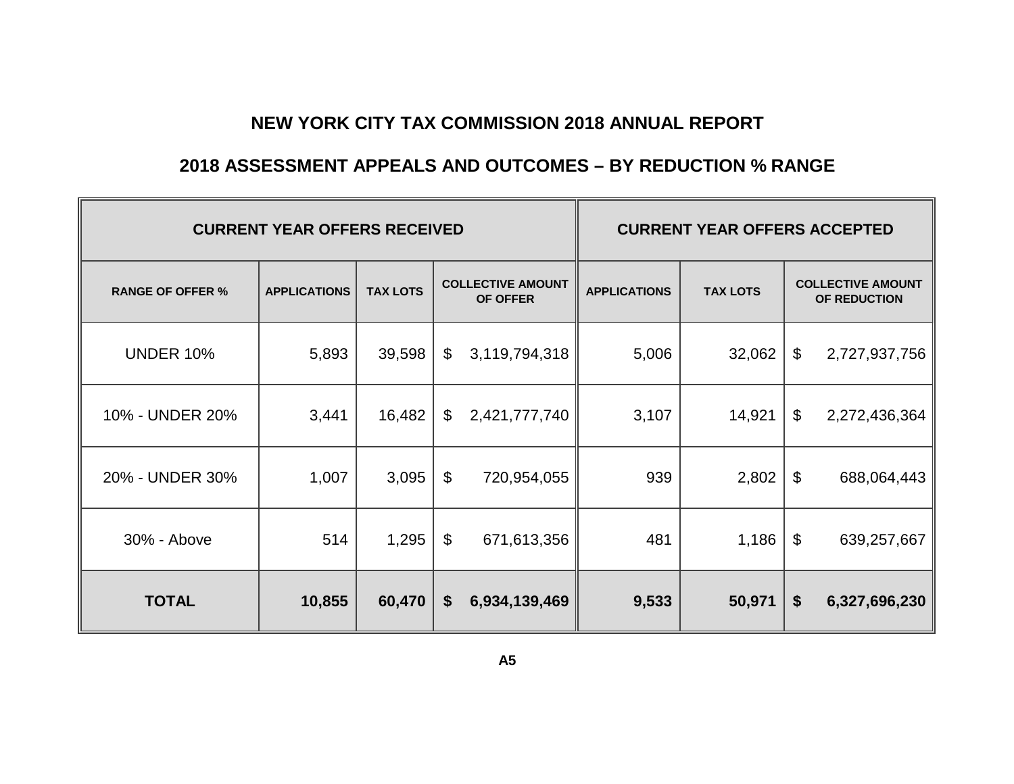#### **2018 ASSESSMENT APPEALS AND OUTCOMES – BY REDUCTION % RANGE**

<span id="page-5-0"></span>

|                         | <b>CURRENT YEAR OFFERS RECEIVED</b> | <b>CURRENT YEAR OFFERS ACCEPTED</b> |                           |                                      |                     |                 |                           |                                          |
|-------------------------|-------------------------------------|-------------------------------------|---------------------------|--------------------------------------|---------------------|-----------------|---------------------------|------------------------------------------|
| <b>RANGE OF OFFER %</b> | <b>APPLICATIONS</b>                 | <b>TAX LOTS</b>                     |                           | <b>COLLECTIVE AMOUNT</b><br>OF OFFER | <b>APPLICATIONS</b> | <b>TAX LOTS</b> |                           | <b>COLLECTIVE AMOUNT</b><br>OF REDUCTION |
| <b>UNDER 10%</b>        | 5,893                               | 39,598                              | \$                        | 3,119,794,318                        | 5,006               | 32,062          | \$                        | 2,727,937,756                            |
| 10% - UNDER 20%         | 3,441                               | 16,482                              | $\boldsymbol{\mathsf{S}}$ | 2,421,777,740                        | 3,107               | 14,921          | \$                        | 2,272,436,364                            |
| 20% - UNDER 30%         | 1,007                               | 3,095                               | \$                        | 720,954,055                          | 939                 | 2,802           | \$                        | 688,064,443                              |
| 30% - Above             | 514                                 | 1,295                               | \$                        | 671,613,356                          | 481                 | 1,186           | \$                        | 639,257,667                              |
| <b>TOTAL</b>            | 10,855                              | 60,470                              | \$                        | 6,934,139,469                        | 9,533               | 50,971          | $\boldsymbol{\mathsf{s}}$ | 6,327,696,230                            |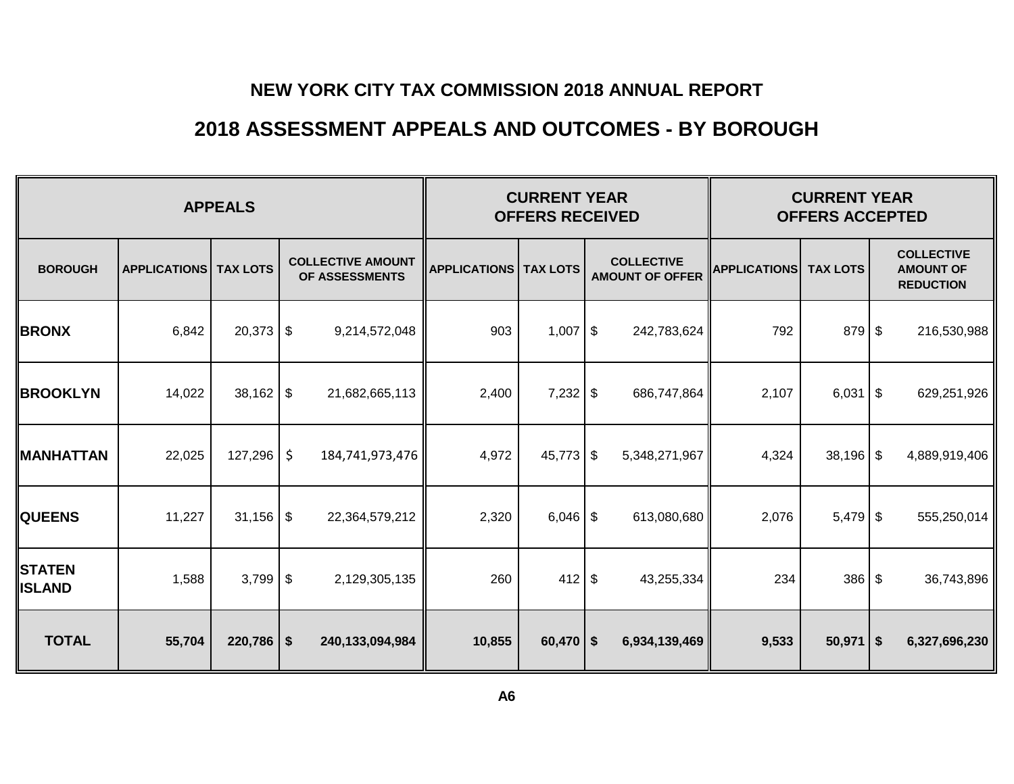## **2018 ASSESSMENT APPEALS AND OUTCOMES - BY BOROUGH**

<span id="page-6-0"></span>

|                                |                     | <b>CURRENT YEAR</b><br><b>OFFERS RECEIVED</b> |                                            | <b>CURRENT YEAR</b><br><b>OFFERS ACCEPTED</b> |             |  |                                             |                     |                 |  |                                                           |
|--------------------------------|---------------------|-----------------------------------------------|--------------------------------------------|-----------------------------------------------|-------------|--|---------------------------------------------|---------------------|-----------------|--|-----------------------------------------------------------|
| <b>BOROUGH</b>                 | <b>APPLICATIONS</b> | <b>TAX LOTS</b>                               | <b>COLLECTIVE AMOUNT</b><br>OF ASSESSMENTS | <b>APPLICATIONS   TAX LOTS</b>                |             |  | <b>COLLECTIVE</b><br><b>AMOUNT OF OFFER</b> | <b>APPLICATIONS</b> | <b>TAX LOTS</b> |  | <b>COLLECTIVE</b><br><b>AMOUNT OF</b><br><b>REDUCTION</b> |
| <b>BRONX</b>                   | 6,842               | $20,373$ \$                                   | 9,214,572,048                              | 903                                           | $1,007$ \$  |  | 242,783,624                                 | 792                 | 879 \$          |  | 216,530,988                                               |
| <b>BROOKLYN</b>                | 14,022              |                                               | 21,682,665,113                             | 2,400                                         | $7,232$ \$  |  | 686,747,864                                 | 2,107               | $6,031$ \$      |  | 629,251,926                                               |
| <b>MANHATTAN</b>               | 22,025              | 127,296                                       | \$<br>184,741,973,476                      | 4,972                                         | $45,773$ \$ |  | 5,348,271,967                               | 4,324               | $38,196$ \$     |  | 4,889,919,406                                             |
| <b>QUEENS</b>                  | 11,227              | $31,156$ \$                                   | 22,364,579,212                             | 2,320                                         | $6,046$ \$  |  | 613,080,680                                 | 2,076               | $5,479$ \$      |  | 555,250,014                                               |
| <b>STATEN</b><br><b>ISLAND</b> | 1,588               | 3,799                                         | \$<br>2,129,305,135                        | 260                                           | $412$ \$    |  | 43,255,334                                  | 234                 | $386 $ \$       |  | 36,743,896                                                |
| <b>TOTAL</b>                   | 55,704              | $220,786$   \$                                | 240,133,094,984                            | 10,855                                        | $60,470$ \$ |  | 6,934,139,469                               | 9,533               | $50,971$ \$     |  | 6,327,696,230                                             |